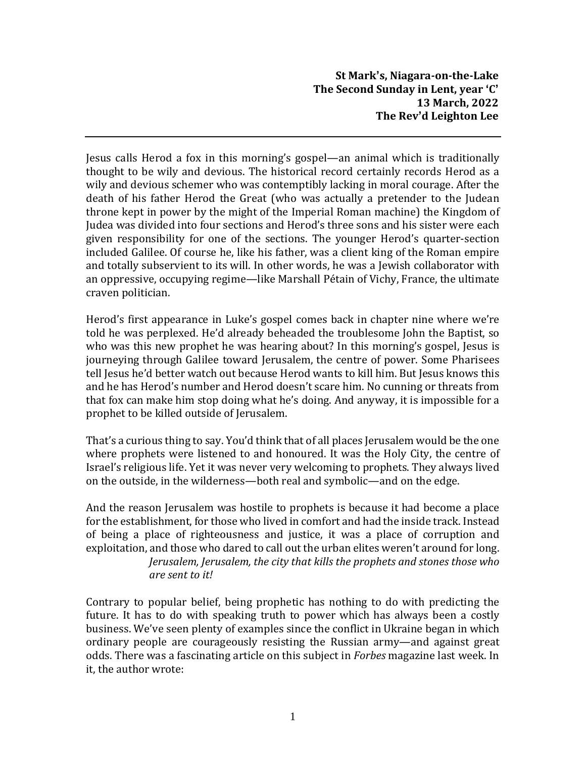Jesus calls Herod a fox in this morning's gospel—an animal which is traditionally thought to be wily and devious. The historical record certainly records Herod as a wily and devious schemer who was contemptibly lacking in moral courage. After the death of his father Herod the Great (who was actually a pretender to the Judean throne kept in power by the might of the Imperial Roman machine) the Kingdom of Judea was divided into four sections and Herod's three sons and his sister were each given responsibility for one of the sections. The younger Herod's quarter-section included Galilee. Of course he, like his father, was a client king of the Roman empire and totally subservient to its will. In other words, he was a Jewish collaborator with an oppressive, occupying regime—like Marshall Pétain of Vichy, France, the ultimate craven politician.

Herod's first appearance in Luke's gospel comes back in chapter nine where we're told he was perplexed. He'd already beheaded the troublesome John the Baptist, so who was this new prophet he was hearing about? In this morning's gospel, Jesus is journeying through Galilee toward Jerusalem, the centre of power. Some Pharisees tell Jesus he'd better watch out because Herod wants to kill him. But Jesus knows this and he has Herod's number and Herod doesn't scare him. No cunning or threats from that fox can make him stop doing what he's doing. And anyway, it is impossible for a prophet to be killed outside of Jerusalem.

That's a curious thing to say. You'd think that of all places Jerusalem would be the one where prophets were listened to and honoured. It was the Holy City, the centre of Israel's religious life. Yet it was never very welcoming to prophets. They always lived on the outside, in the wilderness—both real and symbolic—and on the edge.

And the reason Jerusalem was hostile to prophets is because it had become a place for the establishment, for those who lived in comfort and had the inside track. Instead of being a place of righteousness and justice, it was a place of corruption and exploitation, and those who dared to call out the urban elites weren't around for long. *Jerusalem, Jerusalem, the city that kills the prophets and stones those who are sent to it!*

Contrary to popular belief, being prophetic has nothing to do with predicting the future. It has to do with speaking truth to power which has always been a costly business. We've seen plenty of examples since the conflict in Ukraine began in which ordinary people are courageously resisting the Russian army—and against great odds. There was a fascinating article on this subject in *Forbes* magazine last week. In it, the author wrote: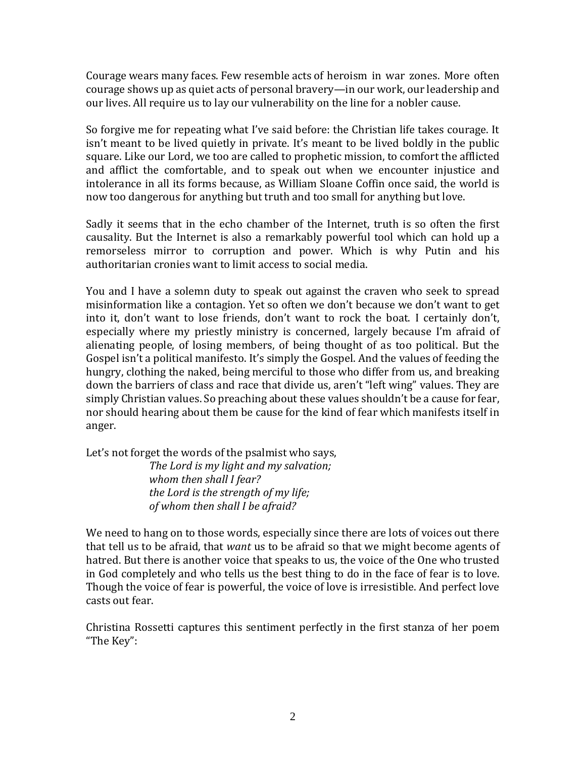Courage wears many faces. Few resemble acts of heroism in war zones. More often courage shows up as quiet acts of personal bravery—in our work, our leadership and our lives. All require us to lay our vulnerability on the line for a nobler cause.

So forgive me for repeating what I've said before: the Christian life takes courage. It isn't meant to be lived quietly in private. It's meant to be lived boldly in the public square. Like our Lord, we too are called to prophetic mission, to comfort the afflicted and afflict the comfortable, and to speak out when we encounter injustice and intolerance in all its forms because, as William Sloane Coffin once said, the world is now too dangerous for anything but truth and too small for anything but love.

Sadly it seems that in the echo chamber of the Internet, truth is so often the first causality. But the Internet is also a remarkably powerful tool which can hold up a remorseless mirror to corruption and power. Which is why Putin and his authoritarian cronies want to limit access to social media.

You and I have a solemn duty to speak out against the craven who seek to spread misinformation like a contagion. Yet so often we don't because we don't want to get into it, don't want to lose friends, don't want to rock the boat. I certainly don't, especially where my priestly ministry is concerned, largely because I'm afraid of alienating people, of losing members, of being thought of as too political. But the Gospel isn't a political manifesto. It's simply the Gospel. And the values of feeding the hungry, clothing the naked, being merciful to those who differ from us, and breaking down the barriers of class and race that divide us, aren't "left wing" values. They are simply Christian values. So preaching about these values shouldn't be a cause for fear, nor should hearing about them be cause for the kind of fear which manifests itself in anger.

Let's not forget the words of the psalmist who says,

*The Lord is my light and my salvation; whom then shall I fear? the Lord is the strength of my life; of whom then shall I be afraid?*

We need to hang on to those words, especially since there are lots of voices out there that tell us to be afraid, that *want* us to be afraid so that we might become agents of hatred. But there is another voice that speaks to us, the voice of the One who trusted in God completely and who tells us the best thing to do in the face of fear is to love. Though the voice of fear is powerful, the voice of love is irresistible. And perfect love casts out fear.

Christina Rossetti captures this sentiment perfectly in the first stanza of her poem "The Key":